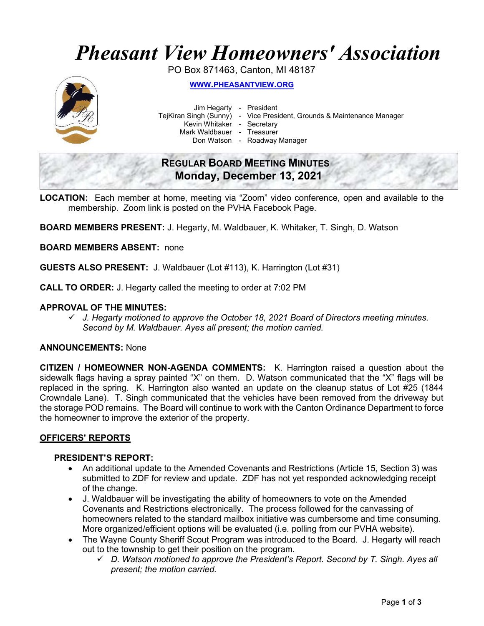# Pheasant View Homeowners' Association

PO Box 871463, Canton, MI 48187



WWW.PHEASANTVIEW.ORG

Jim Hegarty - President

TejKiran Singh (Sunny) - Vice President, Grounds & Maintenance Manager

Kevin Whitaker - Secretary

Mark Waldbauer - Treasurer

Don Watson - Roadway Manager

## REGULAR BOARD MEETING MINUTES Monday, December 13, 2021

LOCATION: Each member at home, meeting via "Zoom" video conference, open and available to the membership. Zoom link is posted on the PVHA Facebook Page.

BOARD MEMBERS PRESENT: J. Hegarty, M. Waldbauer, K. Whitaker, T. Singh, D. Watson

BOARD MEMBERS ABSENT: none

GUESTS ALSO PRESENT: J. Waldbauer (Lot #113), K. Harrington (Lot #31)

CALL TO ORDER: J. Hegarty called the meeting to order at 7:02 PM

#### APPROVAL OF THE MINUTES:

 $\checkmark$  J. Hegarty motioned to approve the October 18, 2021 Board of Directors meeting minutes. Second by M. Waldbauer. Ayes all present; the motion carried.

#### ANNOUNCEMENTS: None

CITIZEN / HOMEOWNER NON-AGENDA COMMENTS: K. Harrington raised a question about the sidewalk flags having a spray painted "X" on them. D. Watson communicated that the "X" flags will be replaced in the spring. K. Harrington also wanted an update on the cleanup status of Lot #25 (1844 Crowndale Lane). T. Singh communicated that the vehicles have been removed from the driveway but the storage POD remains. The Board will continue to work with the Canton Ordinance Department to force the homeowner to improve the exterior of the property.

#### OFFICERS' REPORTS

#### PRESIDENT'S REPORT:

- An additional update to the Amended Covenants and Restrictions (Article 15, Section 3) was submitted to ZDF for review and update. ZDF has not yet responded acknowledging receipt of the change.
- J. Waldbauer will be investigating the ability of homeowners to vote on the Amended Covenants and Restrictions electronically. The process followed for the canvassing of homeowners related to the standard mailbox initiative was cumbersome and time consuming. More organized/efficient options will be evaluated (i.e. polling from our PVHA website).
- The Wayne County Sheriff Scout Program was introduced to the Board. J. Hegarty will reach out to the township to get their position on the program.
	- $\checkmark$  D. Watson motioned to approve the President's Report. Second by T. Singh. Ayes all present; the motion carried.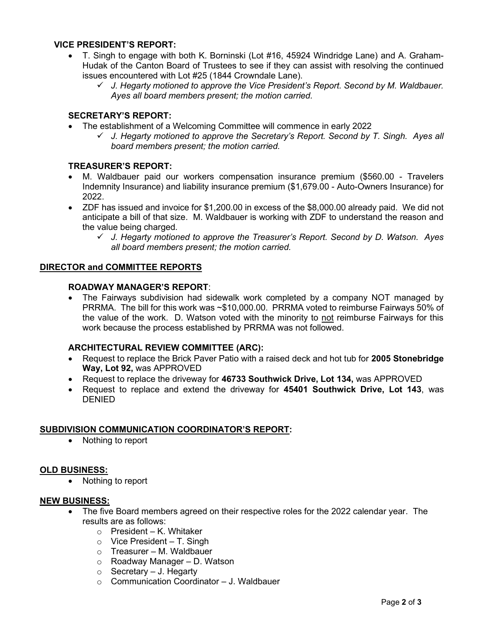#### VICE PRESIDENT'S REPORT:

- T. Singh to engage with both K. Borninski (Lot #16, 45924 Windridge Lane) and A. Graham-Hudak of the Canton Board of Trustees to see if they can assist with resolving the continued issues encountered with Lot #25 (1844 Crowndale Lane).
	- $\checkmark$  J. Hegarty motioned to approve the Vice President's Report. Second by M. Waldbauer. Ayes all board members present; the motion carried.

#### SECRETARY'S REPORT:

- The establishment of a Welcoming Committee will commence in early 2022
	- $\checkmark$  J. Hegarty motioned to approve the Secretary's Report. Second by T. Singh. Ayes all board members present; the motion carried.

#### TREASURER'S REPORT:

- M. Waldbauer paid our workers compensation insurance premium (\$560.00 Travelers Indemnity Insurance) and liability insurance premium (\$1,679.00 - Auto-Owners Insurance) for 2022.
- ZDF has issued and invoice for \$1,200.00 in excess of the \$8,000.00 already paid. We did not anticipate a bill of that size. M. Waldbauer is working with ZDF to understand the reason and the value being charged.
	- $\checkmark$  J. Hegarty motioned to approve the Treasurer's Report. Second by D. Watson. Ayes all board members present; the motion carried.

#### DIRECTOR and COMMITTEE REPORTS

#### ROADWAY MANAGER'S REPORT:

 The Fairways subdivision had sidewalk work completed by a company NOT managed by PRRMA. The bill for this work was ~\$10,000.00. PRRMA voted to reimburse Fairways 50% of the value of the work. D. Watson voted with the minority to not reimburse Fairways for this work because the process established by PRRMA was not followed.

#### ARCHITECTURAL REVIEW COMMITTEE (ARC):

- Request to replace the Brick Paver Patio with a raised deck and hot tub for 2005 Stonebridge Way, Lot 92, was APPROVED
- Request to replace the driveway for 46733 Southwick Drive, Lot 134, was APPROVED
- Request to replace and extend the driveway for 45401 Southwick Drive, Lot 143, was DENIED

#### SUBDIVISION COMMUNICATION COORDINATOR'S REPORT:

• Nothing to report

#### OLD BUSINESS:

• Nothing to report

#### NEW BUSINESS:

- The five Board members agreed on their respective roles for the 2022 calendar year. The results are as follows:
	- o President K. Whitaker
	- $\circ$  Vice President T. Singh
	- o Treasurer M. Waldbauer
	- o Roadway Manager D. Watson
	- $\circ$  Secretary J. Hegarty
	- $\circ$  Communication Coordinator J. Waldbauer